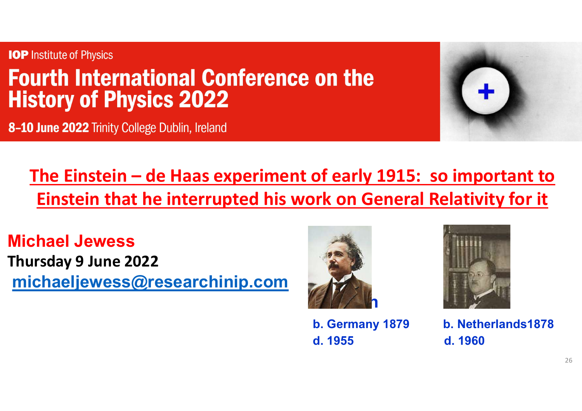



## Institute of Physics<br> **urth International Conference on the**<br>
Story of Physics 2022<br>
D June 2022 Trinity College Dublin, Ireland<br>
The Einstein – de Haas experiment of early 1915: so important to<br>
Einstein that he interrupt Einstein that he interrupted his work on General Relativity for it of early 1915: so important to<br>
bridge in General Relativity for it<br>
and the Haaste School of the Hands1878<br>
d. 1955<br>
d. 1955<br>
d. 1960

Michael Jewess Thursday 9 June 2022 michaeljewess@researchinip.com



d. 1955 d. 1960



b. Germany 1879 b. Netherlands1878